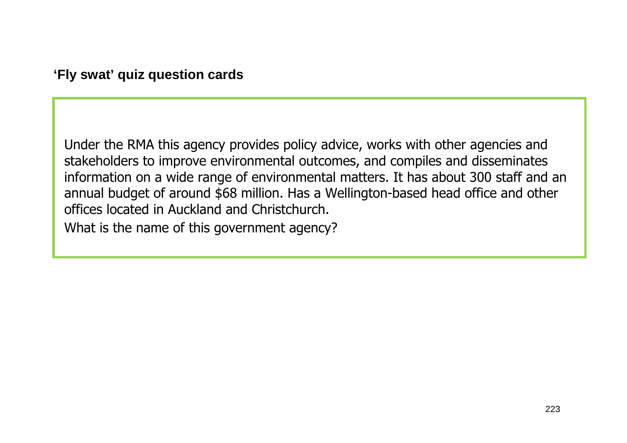Under the RMA this agency provides policy advice, works with other agencies and stakeholders to improve environmental outcomes, and compiles and disseminates information on a wide range of environmental matters. It has about 300 staff and an annual budget of around \$68 million. Has a Wellington-based head office and other offices located in Auckland and Christchurch.

What is the name of this government agency?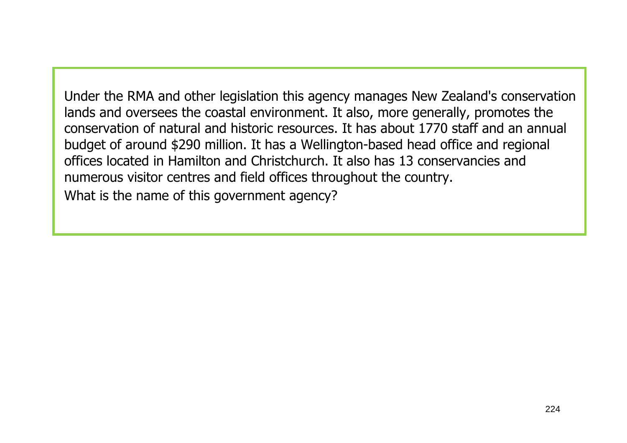Under the RMA and other legislation this agency manages New Zealand's conservation lands and oversees the coastal environment. It also, more generally, promotes the conservation of natural and historic resources. It has about 1770 staff and an annual budget of around \$290 million. It has a Wellington-based head office and regional offices located in Hamilton and Christchurch. It also has 13 conservancies and numerous visitor centres and field offices throughout the country. What is the name of this government agency?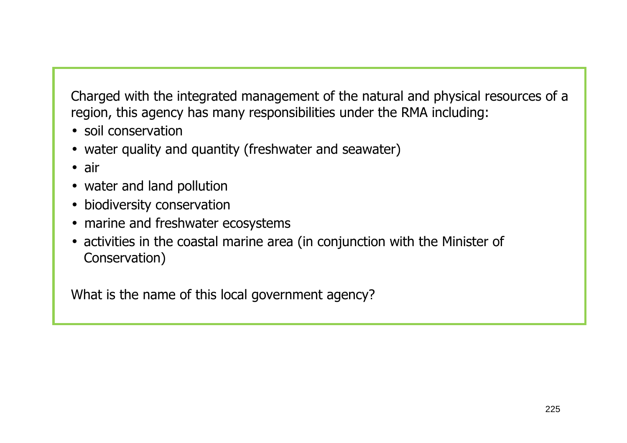Charged with the integrated management of the natural and physical resources of a region, this agency has many responsibilities under the RMA including:

- soil conservation
- water quality and quantity (freshwater and seawater)
- air
- water and land pollution
- biodiversity conservation
- marine and freshwater ecosystems
- activities in the coastal marine area (in conjunction with the Minister of Conservation)

What is the name of this local government agency?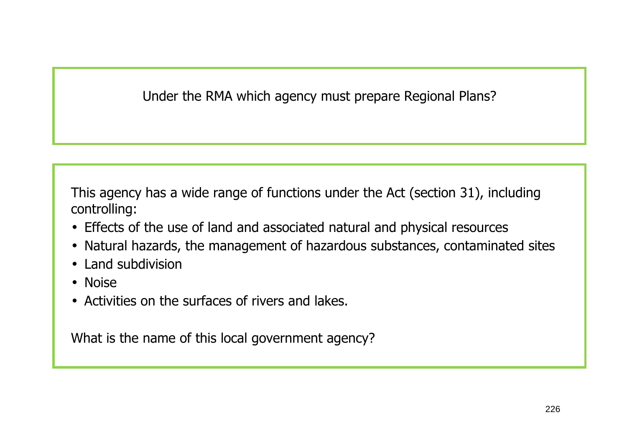Under the RMA which agency must prepare Regional Plans?

This agency has a wide range of functions under the Act (section 31), including controlling:

- Effects of the use of land and associated natural and physical resources
- Natural hazards, the management of hazardous substances, contaminated sites
- Land subdivision
- Noise
- Activities on the surfaces of rivers and lakes.

What is the name of this local government agency?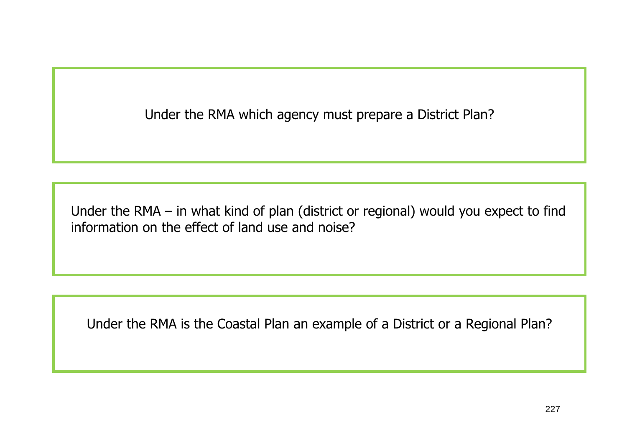Under the RMA which agency must prepare a District Plan?

Under the RMA – in what kind of plan (district or regional) would you expect to find information on the effect of land use and noise?

Under the RMA is the Coastal Plan an example of a District or a Regional Plan?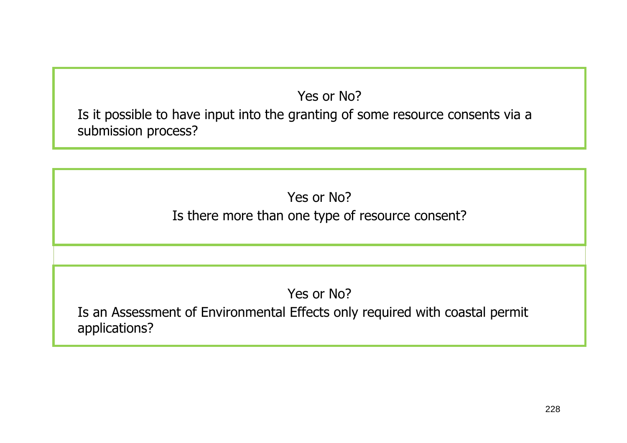## Yes or No?

Is it possible to have input into the granting of some resource consents via a submission process?

> Yes or No? Is there more than one type of resource consent?

> > Yes or No?

Is an Assessment of Environmental Effects only required with coastal permit applications?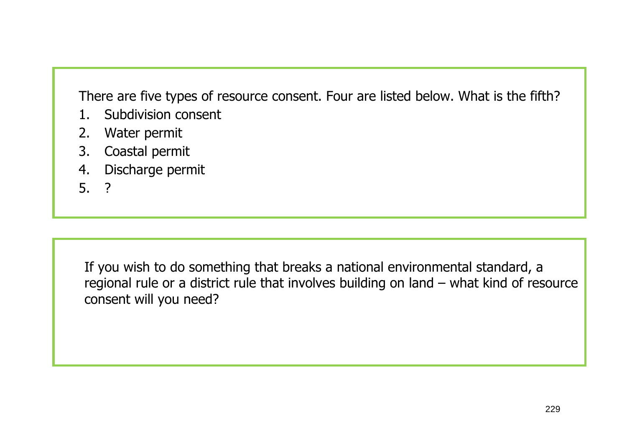There are five types of resource consent. Four are listed below. What is the fifth?

- 1. Subdivision consent
- 2.Water permit
- 3.Coastal permit
- 4.Discharge permit
- 5. ?

If you wish to do something that breaks a national environmental standard, a regional rule or a district rule that involves building on land – what kind of resource consent will you need?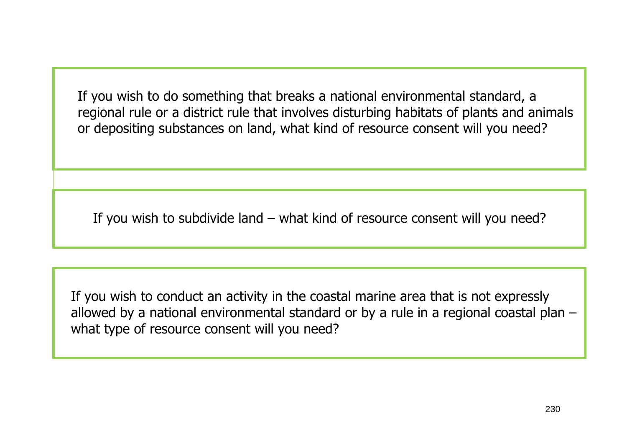If you wish to do something that breaks a national environmental standard, a regional rule or a district rule that involves disturbing habitats of plants and animals or depositing substances on land, what kind of resource consent will you need?

If you wish to subdivide land – what kind of resource consent will you need?

If you wish to conduct an activity in the coastal marine area that is not expressly allowed by a national environmental standard or by a rule in a regional coastal plan – what type of resource consent will you need?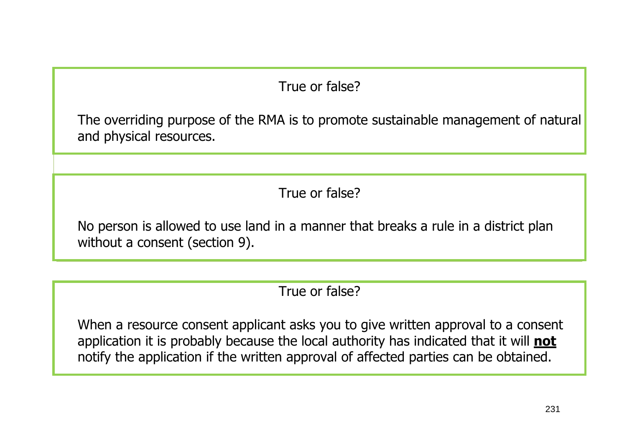## True or false?

The overriding purpose of the RMA is to promote sustainable management of natural and physical resources.

True or false?

No person is allowed to use land in a manner that breaks a rule in a district plan without a consent (section 9).

True or false?

When a resource consent applicant asks you to give written approval to a consent application it is probably because the local authority has indicated that it will **not**notify the application if the written approval of affected parties can be obtained.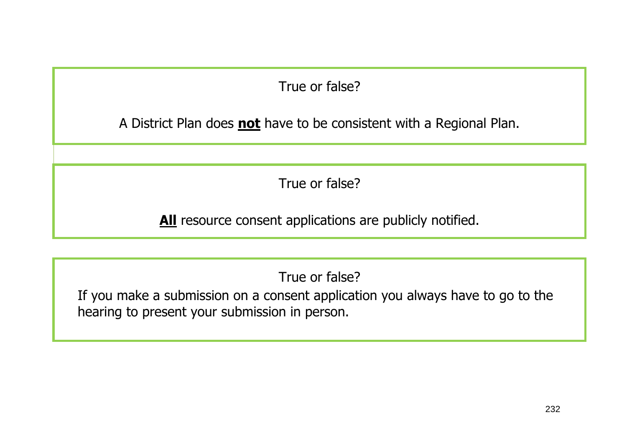True or false?

A District Plan does **not** have to be consistent with a Regional Plan.

True or false?

All resource consent applications are publicly notified.

True or false?

If you make a submission on a consent application you always have to go to the hearing to present your submission in person.